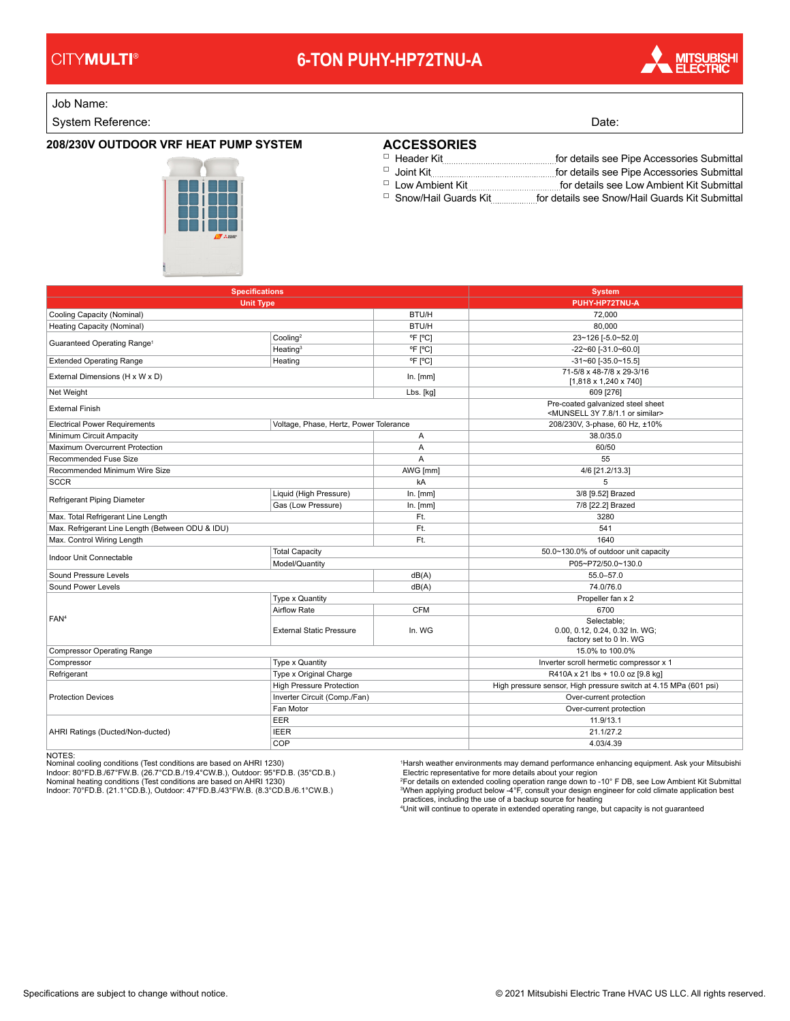# **6-TON PUHY-HP72TNU-A**



Job Name:

System Reference: Date: Date: Date: Date: Date: Date: Date: Date: Date: Date: Date: Date: Date: Date: Date: Date: Date: Date: Date: Date: Date: Date: Date: Date: Date: Date: Date: Date: Date: Date: Date: Date: Date: Date:

#### **208/230V OUTDOOR VRF HEAT PUMP SYSTEM**

### **ACCESSORIES**

Header Kit for details see Pipe Accessories Submittal □

□ Joint Kit **for details see Pipe Accessories Submittal** □ Low Ambient Kit **for details see Low Ambient Kit Submittal** 

□ Snow/Hail Guards Kit....................for details see Snow/Hail Guards Kit Submittal

| <b>Specifications</b><br><b>Unit Type</b>        |                                        |              | <b>System</b><br>PUHY-HP72TNU-A                                                               |
|--------------------------------------------------|----------------------------------------|--------------|-----------------------------------------------------------------------------------------------|
|                                                  |                                        |              |                                                                                               |
| Heating Capacity (Nominal)                       |                                        | <b>BTU/H</b> | 80.000                                                                                        |
| Guaranteed Operating Range <sup>1</sup>          | Cooling <sup>2</sup>                   | °F [°C]      | 23~126 [-5.0~52.0]                                                                            |
|                                                  | Heating $3$                            | °F [°C]      | $-22 - 60$ [ $-31.0 - 60.0$ ]                                                                 |
| <b>Extended Operating Range</b>                  | Heating                                | °F [°C]      | $-31 - 60$ [ $-35.0 - 15.5$ ]                                                                 |
| External Dimensions (H x W x D)                  |                                        | In. [mm]     | 71-5/8 x 48-7/8 x 29-3/16<br>$[1,818 \times 1,240 \times 740]$                                |
| Net Weight                                       |                                        | Lbs. [kg]    | 609 [276]                                                                                     |
| <b>External Finish</b>                           |                                        |              | Pre-coated galvanized steel sheet<br><munsell 1.1="" 3y="" 7.8="" or="" similar=""></munsell> |
| <b>Electrical Power Requirements</b>             | Voltage, Phase, Hertz, Power Tolerance |              | 208/230V, 3-phase, 60 Hz, ±10%                                                                |
| Minimum Circuit Ampacity                         |                                        | A            | 38.0/35.0                                                                                     |
| Maximum Overcurrent Protection                   |                                        | Α            | 60/50                                                                                         |
| Recommended Fuse Size                            |                                        | A            | 55                                                                                            |
| Recommended Minimum Wire Size                    |                                        | AWG [mm]     | 4/6 [21.2/13.3]                                                                               |
| <b>SCCR</b>                                      |                                        | kA           | 5                                                                                             |
| Refrigerant Piping Diameter                      | Liquid (High Pressure)                 | In. [mm]     | 3/8 [9.52] Brazed                                                                             |
|                                                  | Gas (Low Pressure)                     | In. [mm]     | 7/8 [22.2] Brazed                                                                             |
| Max. Total Refrigerant Line Length               |                                        | Ft.          | 3280                                                                                          |
| Max. Refrigerant Line Length (Between ODU & IDU) |                                        | Ft.          | 541                                                                                           |
| Max. Control Wiring Length                       |                                        | Ft.          | 1640                                                                                          |
| Indoor Unit Connectable                          | <b>Total Capacity</b>                  |              | 50.0~130.0% of outdoor unit capacity                                                          |
|                                                  | Model/Quantity                         |              | P05~P72/50.0~130.0                                                                            |
| Sound Pressure Levels                            |                                        | dB(A)        | 55.0-57.0                                                                                     |
| Sound Power Levels                               |                                        | dB(A)        | 74.0/76.0                                                                                     |
| FAN <sup>4</sup>                                 | Type x Quantity                        |              | Propeller fan x 2                                                                             |
|                                                  | <b>Airflow Rate</b>                    | <b>CFM</b>   | 6700                                                                                          |
|                                                  | <b>External Static Pressure</b>        | In. WG       | Selectable:<br>0.00, 0.12, 0.24, 0.32 In. WG;<br>factory set to 0 In. WG                      |
| <b>Compressor Operating Range</b>                |                                        |              | 15.0% to 100.0%                                                                               |
| Compressor                                       | <b>Type x Quantity</b>                 |              | Inverter scroll hermetic compressor x 1                                                       |
| Refrigerant                                      | Type x Original Charge                 |              | R410A x 21 lbs + 10.0 oz [9.8 kg]                                                             |
| <b>Protection Devices</b>                        | <b>High Pressure Protection</b>        |              | High pressure sensor, High pressure switch at 4.15 MPa (601 psi)                              |
|                                                  | Inverter Circuit (Comp./Fan)           |              | Over-current protection                                                                       |
|                                                  | Fan Motor                              |              | Over-current protection                                                                       |
| AHRI Ratings (Ducted/Non-ducted)                 | EER                                    |              | 11.9/13.1                                                                                     |
|                                                  | <b>IEER</b>                            |              | 21.1/27.2                                                                                     |
|                                                  | COP                                    |              | 4.03/4.39                                                                                     |
|                                                  |                                        |              |                                                                                               |

NOTES:<br>Nominal cooling conditions (Test conditions are based on AHRI 1230)<br>Indoor: 80°FD.B./67°FW.B. (26.7°CD.B./19.4°CW.B.), Outdoor: 95°FD.B. (35°CD.B.)<br>Nominal heating conditions (Test conditions are based on AHRI 1230)

<sup>1</sup>Harsh weather environments may demand performance enhancing equipment. Ask your Mitsubishi<br>Electric representative for more details about your region<br><sup>3</sup>For details on extended cooling operation range down to -10° F DB,